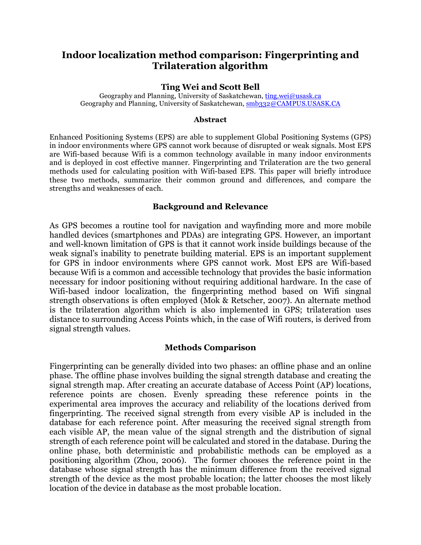# **Indoor localization method comparison: Fingerprinting and Trilateration algorithm**

## **Ting Wei and Scott Bell**

Geography and Planning, University of Saskatchewan, ting.wei@usask.ca Geography and Planning, University of Saskatchewan, smb332@CAMPUS.USASK.CA

#### **Abstract**

Enhanced Positioning Systems (EPS) are able to supplement Global Positioning Systems (GPS) in indoor environments where GPS cannot work because of disrupted or weak signals. Most EPS are Wifi-based because Wifi is a common technology available in many indoor environments and is deployed in cost effective manner. Fingerprinting and Trilateration are the two general methods used for calculating position with Wifi-based EPS. This paper will briefly introduce these two methods, summarize their common ground and differences, and compare the strengths and weaknesses of each.

## **Background and Relevance**

As GPS becomes a routine tool for navigation and wayfinding more and more mobile handled devices (smartphones and PDAs) are integrating GPS. However, an important and well-known limitation of GPS is that it cannot work inside buildings because of the weak signal's inability to penetrate building material. EPS is an important supplement for GPS in indoor environments where GPS cannot work. Most EPS are Wifi-based because Wifi is a common and accessible technology that provides the basic information necessary for indoor positioning without requiring additional hardware. In the case of Wifi-based indoor localization, the fingerprinting method based on Wifi singnal strength observations is often employed (Mok & Retscher, 2007). An alternate method is the trilateration algorithm which is also implemented in GPS; trilateration uses distance to surrounding Access Points which, in the case of Wifi routers, is derived from signal strength values.

## **Methods Comparison**

Fingerprinting can be generally divided into two phases: an offline phase and an online phase. The offline phase involves building the signal strength database and creating the signal strength map. After creating an accurate database of Access Point (AP) locations, reference points are chosen. Evenly spreading these reference points in the experimental area improves the accuracy and reliability of the locations derived from fingerprinting. The received signal strength from every visible AP is included in the database for each reference point. After measuring the received signal strength from each visible AP, the mean value of the signal strength and the distribution of signal strength of each reference point will be calculated and stored in the database. During the online phase, both deterministic and probabilistic methods can be employed as a positioning algorithm (Zhou, 2006). The former chooses the reference point in the database whose signal strength has the minimum difference from the received signal strength of the device as the most probable location; the latter chooses the most likely location of the device in database as the most probable location.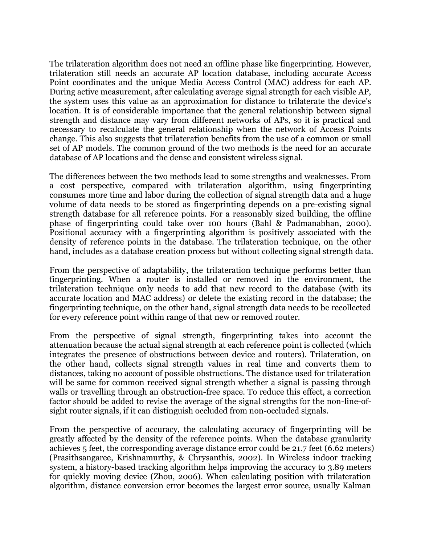The trilateration algorithm does not need an offline phase like fingerprinting. However, trilateration still needs an accurate AP location database, including accurate Access Point coordinates and the unique Media Access Control (MAC) address for each AP. During active measurement, after calculating average signal strength for each visible AP, the system uses this value as an approximation for distance to trilaterate the device's location. It is of considerable importance that the general relationship between signal strength and distance may vary from different networks of APs, so it is practical and necessary to recalculate the general relationship when the network of Access Points change. This also suggests that trilateration benefits from the use of a common or small set of AP models. The common ground of the two methods is the need for an accurate database of AP locations and the dense and consistent wireless signal.

The differences between the two methods lead to some strengths and weaknesses. From a cost perspective, compared with trilateration algorithm, using fingerprinting consumes more time and labor during the collection of signal strength data and a huge volume of data needs to be stored as fingerprinting depends on a pre-existing signal strength database for all reference points. For a reasonably sized building, the offline phase of fingerprinting could take over 100 hours (Bahl & Padmanabhan, 2000). Positional accuracy with a fingerprinting algorithm is positively associated with the density of reference points in the database. The trilateration technique, on the other hand, includes as a database creation process but without collecting signal strength data.

From the perspective of adaptability, the trilateration technique performs better than fingerprinting. When a router is installed or removed in the environment, the trilateration technique only needs to add that new record to the database (with its accurate location and MAC address) or delete the existing record in the database; the fingerprinting technique, on the other hand, signal strength data needs to be recollected for every reference point within range of that new or removed router.

From the perspective of signal strength, fingerprinting takes into account the attenuation because the actual signal strength at each reference point is collected (which integrates the presence of obstructions between device and routers). Trilateration, on the other hand, collects signal strength values in real time and converts them to distances, taking no account of possible obstructions. The distance used for trilateration will be same for common received signal strength whether a signal is passing through walls or travelling through an obstruction-free space. To reduce this effect, a correction factor should be added to revise the average of the signal strengths for the non-line-ofsight router signals, if it can distinguish occluded from non-occluded signals.

From the perspective of accuracy, the calculating accuracy of fingerprinting will be greatly affected by the density of the reference points. When the database granularity achieves 5 feet, the corresponding average distance error could be 21.7 feet (6.62 meters) (Prasithsangaree, Krishnamurthy, & Chrysanthis, 2002). In Wireless indoor tracking system, a history-based tracking algorithm helps improving the accuracy to 3.89 meters for quickly moving device (Zhou, 2006). When calculating position with trilateration algorithm, distance conversion error becomes the largest error source, usually Kalman